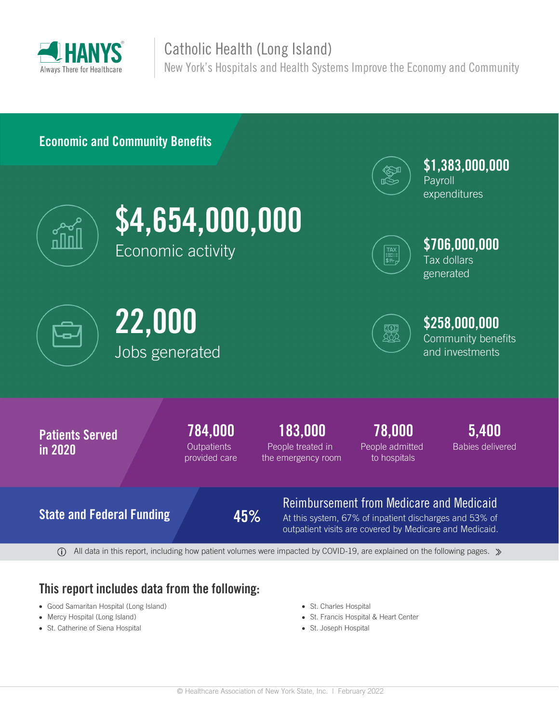

## Catholic Health (Long Island)

New York's Hospitals and Health Systems Improve the Economy and Community

### **Economic and Community Benefits**



**\$4,654,000,000** Economic activity



**\$1,383,000,000 Payroll** 

expenditures



**\$706,000,000** Tax dollars generated







# **\$258,000,000**

Community benefits and investments



 $\overline{0}$  All data in this report, including how patient volumes were impacted by COVID-19, are explained on the following pages.  $\gg$ 

### **This report includes data from the following:**

- Good Samaritan Hospital (Long Island)
- Mercy Hospital (Long Island)
- St. Catherine of Siena Hospital
- St. Charles Hospital
- St. Francis Hospital & Heart Center
- St. Joseph Hospital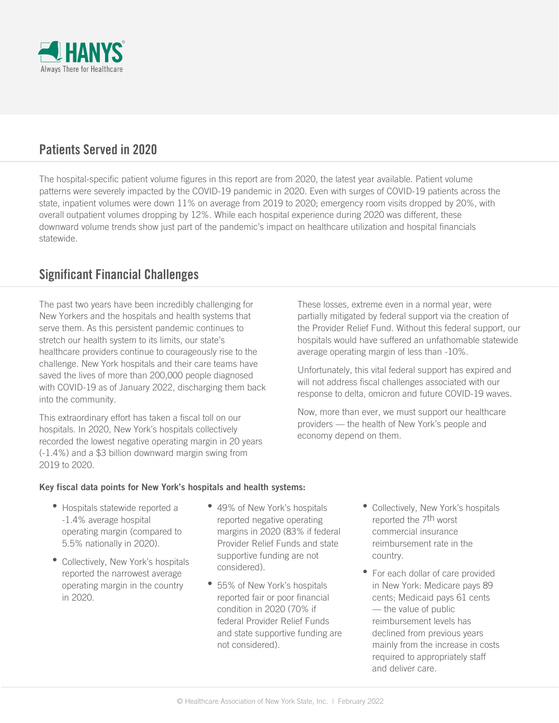

### **Patients Served in 2020**

The hospital-specific patient volume figures in this report are from 2020, the latest year available. Patient volume patterns were severely impacted by the COVID-19 pandemic in 2020. Even with surges of COVID-19 patients across the state, inpatient volumes were down 11% on average from 2019 to 2020; emergency room visits dropped by 20%, with overall outpatient volumes dropping by 12%. While each hospital experience during 2020 was different, these downward volume trends show just part of the pandemic's impact on healthcare utilization and hospital financials statewide.

### **Significant Financial Challenges**

The past two years have been incredibly challenging for New Yorkers and the hospitals and health systems that serve them. As this persistent pandemic continues to stretch our health system to its limits, our state's healthcare providers continue to courageously rise to the challenge. New York hospitals and their care teams have saved the lives of more than 200,000 people diagnosed with COVID-19 as of January 2022, discharging them back into the community.

This extraordinary effort has taken a fiscal toll on our hospitals. In 2020, New York's hospitals collectively recorded the lowest negative operating margin in 20 years (-1.4%) and a \$3 billion downward margin swing from 2019 to 2020.

These losses, extreme even in a normal year, were partially mitigated by federal support via the creation of the Provider Relief Fund. Without this federal support, our hospitals would have suffered an unfathomable statewide average operating margin of less than -10%.

Unfortunately, this vital federal support has expired and will not address fiscal challenges associated with our response to delta, omicron and future COVID-19 waves.

Now, more than ever, we must support our healthcare providers — the health of New York's people and economy depend on them.

#### **Key fiscal data points for New York's hospitals and health systems:**

- Hospitals statewide reported a -1.4% average hospital operating margin (compared to 5.5% nationally in 2020).
- Collectively, New York's hospitals reported the narrowest average operating margin in the country in 2020.
- 49% of New York's hospitals reported negative operating margins in 2020 (83% if federal Provider Relief Funds and state supportive funding are not considered).
- 55% of New York's hospitals reported fair or poor financial condition in 2020 (70% if federal Provider Relief Funds and state supportive funding are not considered).
- Collectively, New York's hospitals reported the 7th worst commercial insurance reimbursement rate in the country.
- For each dollar of care provided in New York: Medicare pays 89 cents; Medicaid pays 61 cents — the value of public reimbursement levels has declined from previous years mainly from the increase in costs required to appropriately staff and deliver care.